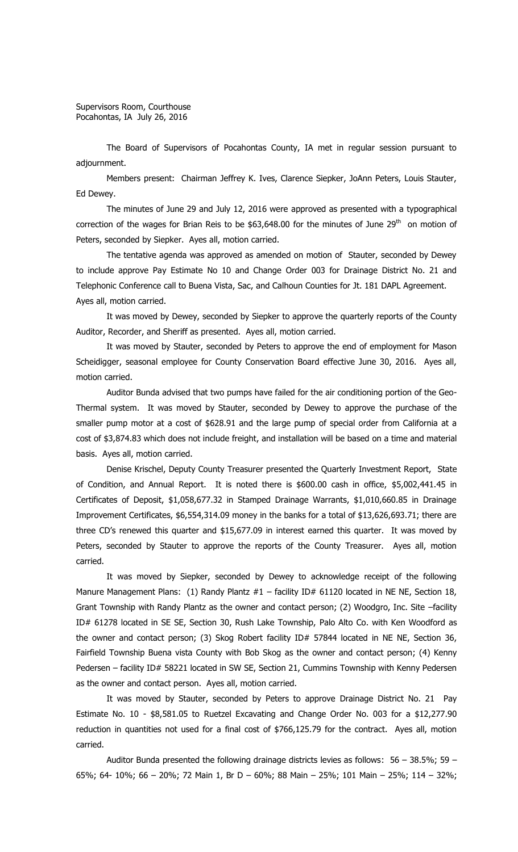The Board of Supervisors of Pocahontas County, IA met in regular session pursuant to adjournment.

Members present: Chairman Jeffrey K. Ives, Clarence Siepker, JoAnn Peters, Louis Stauter, Ed Dewey.

The minutes of June 29 and July 12, 2016 were approved as presented with a typographical correction of the wages for Brian Reis to be  $$63,648.00$  for the minutes of June  $29<sup>th</sup>$  on motion of Peters, seconded by Siepker. Ayes all, motion carried.

The tentative agenda was approved as amended on motion of Stauter, seconded by Dewey to include approve Pay Estimate No 10 and Change Order 003 for Drainage District No. 21 and Telephonic Conference call to Buena Vista, Sac, and Calhoun Counties for Jt. 181 DAPL Agreement. Ayes all, motion carried.

It was moved by Dewey, seconded by Siepker to approve the quarterly reports of the County Auditor, Recorder, and Sheriff as presented. Ayes all, motion carried.

It was moved by Stauter, seconded by Peters to approve the end of employment for Mason Scheidigger, seasonal employee for County Conservation Board effective June 30, 2016. Ayes all, motion carried.

Auditor Bunda advised that two pumps have failed for the air conditioning portion of the Geo-Thermal system. It was moved by Stauter, seconded by Dewey to approve the purchase of the smaller pump motor at a cost of \$628.91 and the large pump of special order from California at a cost of \$3,874.83 which does not include freight, and installation will be based on a time and material basis. Ayes all, motion carried.

Denise Krischel, Deputy County Treasurer presented the Quarterly Investment Report, State of Condition, and Annual Report. It is noted there is \$600.00 cash in office, \$5,002,441.45 in Certificates of Deposit, \$1,058,677.32 in Stamped Drainage Warrants, \$1,010,660.85 in Drainage Improvement Certificates, \$6,554,314.09 money in the banks for a total of \$13,626,693.71; there are three CD's renewed this quarter and \$15,677.09 in interest earned this quarter. It was moved by Peters, seconded by Stauter to approve the reports of the County Treasurer. Ayes all, motion carried.

It was moved by Siepker, seconded by Dewey to acknowledge receipt of the following Manure Management Plans: (1) Randy Plantz #1 - facility ID# 61120 located in NE NE, Section 18, Grant Township with Randy Plantz as the owner and contact person; (2) Woodgro, Inc. Site –facility ID# 61278 located in SE SE, Section 30, Rush Lake Township, Palo Alto Co. with Ken Woodford as the owner and contact person; (3) Skog Robert facility ID# 57844 located in NE NE, Section 36, Fairfield Township Buena vista County with Bob Skog as the owner and contact person; (4) Kenny Pedersen - facility ID# 58221 located in SW SE, Section 21, Cummins Township with Kenny Pedersen as the owner and contact person. Ayes all, motion carried.

It was moved by Stauter, seconded by Peters to approve Drainage District No. 21 Pay Estimate No. 10 - \$8,581.05 to Ruetzel Excavating and Change Order No. 003 for a \$12,277.90 reduction in quantities not used for a final cost of \$766,125.79 for the contract. Ayes all, motion carried.

Auditor Bunda presented the following drainage districts levies as follows:  $56 - 38.5\%$ ; 59 – 65%; 64- 10%; 66 – 20%; 72 Main 1, Br D – 60%; 88 Main – 25%; 101 Main – 25%; 114 – 32%;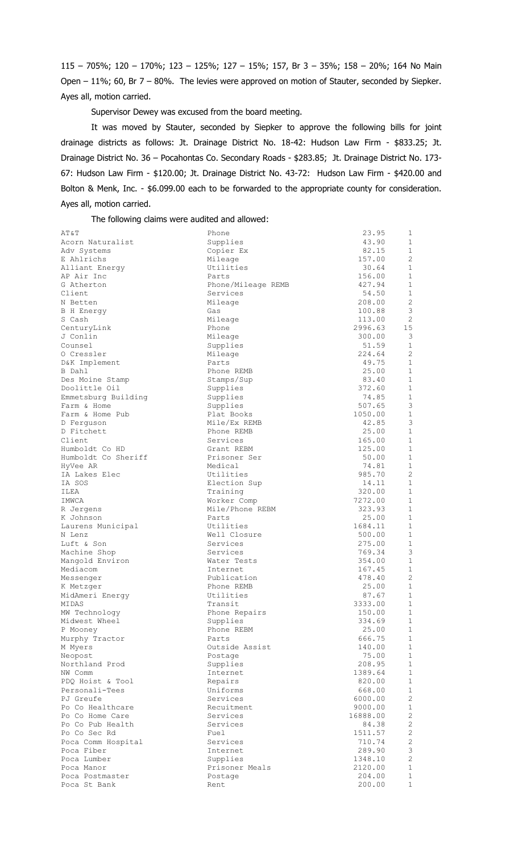115 – 705%; 120 – 170%; 123 – 125%; 127 – 15%; 157, Br 3 – 35%; 158 – 20%; 164 No Main Open – 11%; 60, Br 7 – 80%. The levies were approved on motion of Stauter, seconded by Siepker. Ayes all, motion carried.

Supervisor Dewey was excused from the board meeting.

It was moved by Stauter, seconded by Siepker to approve the following bills for joint drainage districts as follows: Jt. Drainage District No. 18-42: Hudson Law Firm - \$833.25; Jt. Drainage District No. 36 – Pocahontas Co. Secondary Roads - \$283.85; Jt. Drainage District No. 173- 67: Hudson Law Firm - \$120.00; Jt. Drainage District No. 43-72: Hudson Law Firm - \$420.00 and Bolton & Menk, Inc. - \$6.099.00 each to be forwarded to the appropriate county for consideration. Ayes all, motion carried.

The following claims were audited and allowed:

| AT&T                        | Phone                | 23.95               | 1                            |
|-----------------------------|----------------------|---------------------|------------------------------|
| Acorn Naturalist            | Supplies             | 43.90               | 1                            |
| Adv Systems                 | Copier Ex            | 82.15               | $\mathbf{1}$                 |
| E Ahlrichs                  | Mileage              | 157.00              | 2                            |
| Alliant Energy              | Utilities            | 30.64               | $\mathbf{1}$                 |
| AP Air Inc                  | Parts                | 156.00              | 1                            |
| G Atherton                  | Phone/Mileage REMB   | 427.94              | $\mathbf{1}$                 |
| Client                      | Services             | 54.50               | $\mathbf{1}$                 |
| N Betten                    | Mileage              | 208.00              | 2                            |
| B H Energy                  | Gas                  | 100.88              | 3                            |
| S Cash                      | Mileage              | 113.00              | 2                            |
| CenturyLink                 | Phone                | 2996.63             | 15                           |
| J Conlin                    | Mileage              | 300.00              | 3                            |
| Counsel                     | Supplies             | 51.59               | $\mathbf{1}$                 |
| O Cressler                  | Mileage              | 224.64              | 2                            |
| D&K Implement               | Parts                | 49.75               | $\mathbf{1}$                 |
| B Dahl                      | Phone REMB           | 25.00               | $\mathbf{1}$                 |
| Des Moine Stamp             | Stamps/Sup           | 83.40               | $\mathbf{1}$                 |
| Doolittle Oil               | Supplies             | 372.60              | 1                            |
| Emmetsburg Building         | Supplies             | 74.85               | $\mathbf{1}$                 |
| Farm & Home                 | Supplies             | 507.65              | 3                            |
| Farm & Home Pub             | Plat Books           | 1050.00             | $\mathbf{1}$                 |
| D Ferquson                  | Mile/Ex REMB         | 42.85               | $\mathcal{E}$                |
| D Fitchett                  | Phone REMB           | 25.00               | $\mathbf{1}$                 |
| Client                      | Services             | 165.00              | $\mathbf{1}$                 |
| Humboldt Co HD              | Grant REBM           | 125.00              | 1                            |
| Humboldt Co Sheriff         | Prisoner Ser         | 50.00               | $\mathbf{1}$                 |
| HyVee AR                    | Medical              | 74.81               | $\mathbf{1}$                 |
| IA Lakes Elec               | Utilities            | 985.70              | 2                            |
| IA SOS                      | Election Sup         | 14.11               | $\mathbf{1}$                 |
| ILEA                        | Training             | 320.00              | 1                            |
| IMWCA                       | Worker Comp          | 7272.00             | $\mathbf{1}$                 |
| R Jergens                   | Mile/Phone REBM      | 323.93              | $\mathbf{1}$                 |
| K Johnson                   | Parts                | 25.00               | $\mathbf{1}$                 |
| Laurens Municipal           | Utilities            | 1684.11             | $\mathbf{1}$                 |
| N Lenz                      | Well Closure         | 500.00              | 1                            |
| Luft & Son                  | Services             | 275.00              | $\mathbf{1}$                 |
| Machine Shop                | Services             | 769.34              | 3                            |
| Mangold Environ             | Water Tests          | 354.00              | $\mathbf{1}$                 |
| Mediacom                    | Internet             | 167.45              | $\mathbf{1}$                 |
| Messenger                   | Publication          | 478.40              | 2                            |
| K Metzger                   | Phone REMB           | 25.00               | 1                            |
| MidAmeri Energy             | Utilities            | 87.67               | $\mathbf{1}$                 |
| MIDAS                       | Transit              | 3333.00             | $\mathbf{1}$                 |
| MW Technology               | Phone Repairs        | 150.00              | 1                            |
| Midwest Wheel               | Supplies             | 334.69              | $\mathbf{1}$                 |
| P Mooney                    | Phone REBM           | 25.00               | $\mathbf{1}$                 |
| Murphy Tractor              | Parts                | 666.75              | $\mathbf{1}$                 |
| M Myers                     | Outside Assist       | 140.00              | $\mathbf{1}$                 |
| Neopost<br>Northland Prod   | Postage              | 75.00               | $\mathbf{1}$                 |
|                             | Supplies             | 208.95              | $\mathbf{1}$<br>$\mathbf{1}$ |
| NW Comm                     | Internet<br>Repairs  | 1389.64             | $\mathbf{1}$                 |
| PDQ Hoist & Tool            |                      | 820.00              |                              |
| Personali-Tees<br>PJ Greufe | Uniforms<br>Services | 668.00<br>6000.00   | $\mathbf{1}$<br>2            |
| Po Co Healthcare            | Recuitment           |                     | $\mathbf{1}$                 |
| Po Co Home Care             | Services             | 9000.00<br>16888.00 | 2                            |
| Po Co Pub Health            | Services             | 84.38               | $\mathbf{2}$                 |
| Po Co Sec Rd                | Fuel                 | 1511.57             | $\mathbf{2}$                 |
| Poca Comm Hospital          | Services             | 710.74              | $\mathbf{2}$                 |
| Poca Fiber                  | Internet             | 289.90              | $\mathsf 3$                  |
| Poca Lumber                 | Supplies             | 1348.10             | $\mathbf{2}$                 |
| Poca Manor                  | Prisoner Meals       | 2120.00             | $\mathbf{1}$                 |
| Poca Postmaster             | Postage              | 204.00              | $\mathbf{1}$                 |
| Poca St Bank                | Rent                 | 200.00              | $\mathbf 1$                  |
|                             |                      |                     |                              |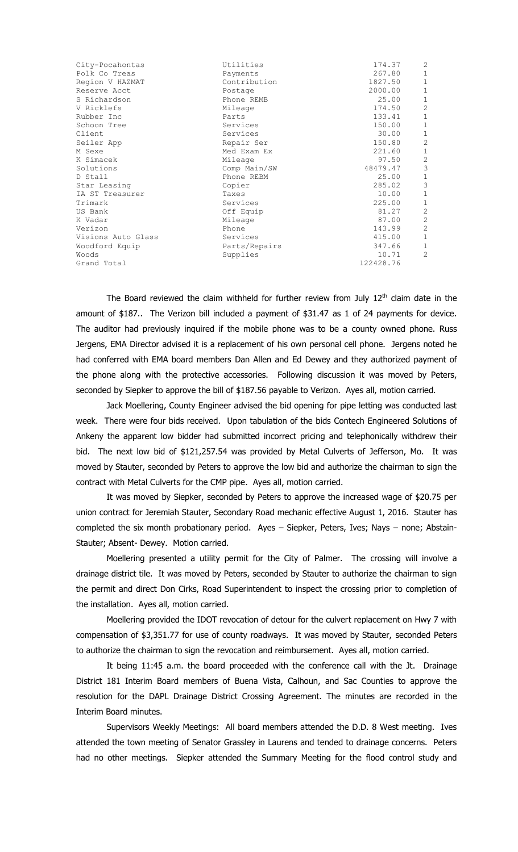| City-Pocahontas    | Utilities     | 174.37    | 2                         |
|--------------------|---------------|-----------|---------------------------|
| Polk Co Treas      | Payments      | 267.80    | $\mathbf{1}$              |
| Region V HAZMAT    | Contribution  | 1827.50   | $\mathbf{1}$              |
| Reserve Acct       | Postage       | 2000.00   | $\mathbf{1}$              |
| S Richardson       | Phone REMB    | 25.00     | $\mathbf{1}$              |
| V Ricklefs         | Mileage       | 174.50    | 2                         |
| Rubber Inc         | Parts         | 133.41    | $\mathbf{1}$              |
| Schoon Tree        | Services      | 150.00    | $\mathbf{1}$              |
| Client             | Services      | 30.00     | $\mathbf{1}$              |
| Seiler App         | Repair Ser    | 150.80    | 2                         |
| M Sexe             | Med Exam Ex   | 221.60    | $\mathbf{1}$              |
| K Simacek          | Mileage       | 97.50     | 2                         |
| Solutions          | Comp Main/SW  | 48479.47  | $\mathsf 3$               |
| D Stall            | Phone REBM    | 25.00     | $\mathbf{1}$              |
| Star Leasing       | Copier        | 285.02    | $\ensuremath{\mathsf{3}}$ |
| IA ST Treasurer    | Taxes         | 10.00     | $\mathbf{1}$              |
| Trimark            | Services      | 225.00    | $\mathbf{1}$              |
| US Bank            | Off Equip     | 81.27     | 2                         |
| K Vadar            | Mileage       | 87.00     | 2                         |
| Verizon            | Phone         | 143.99    | 2                         |
| Visions Auto Glass | Services      | 415.00    | $\mathbf{1}$              |
| Woodford Equip     | Parts/Repairs | 347.66    | $\mathbf{1}$              |
| Woods              | Supplies      | 10.71     | $\overline{2}$            |
| Grand Total        |               | 122428.76 |                           |
|                    |               |           |                           |

The Board reviewed the claim withheld for further review from July  $12<sup>th</sup>$  claim date in the amount of \$187.. The Verizon bill included a payment of \$31.47 as 1 of 24 payments for device. The auditor had previously inquired if the mobile phone was to be a county owned phone. Russ Jergens, EMA Director advised it is a replacement of his own personal cell phone. Jergens noted he had conferred with EMA board members Dan Allen and Ed Dewey and they authorized payment of the phone along with the protective accessories. Following discussion it was moved by Peters, seconded by Siepker to approve the bill of \$187.56 payable to Verizon. Ayes all, motion carried.

Jack Moellering, County Engineer advised the bid opening for pipe letting was conducted last week. There were four bids received. Upon tabulation of the bids Contech Engineered Solutions of Ankeny the apparent low bidder had submitted incorrect pricing and telephonically withdrew their bid. The next low bid of \$121,257.54 was provided by Metal Culverts of Jefferson, Mo. It was moved by Stauter, seconded by Peters to approve the low bid and authorize the chairman to sign the contract with Metal Culverts for the CMP pipe. Ayes all, motion carried.

It was moved by Siepker, seconded by Peters to approve the increased wage of \$20.75 per union contract for Jeremiah Stauter, Secondary Road mechanic effective August 1, 2016. Stauter has completed the six month probationary period. Ayes – Siepker, Peters, Ives; Nays – none; Abstain-Stauter; Absent- Dewey. Motion carried.

Moellering presented a utility permit for the City of Palmer. The crossing will involve a drainage district tile. It was moved by Peters, seconded by Stauter to authorize the chairman to sign the permit and direct Don Cirks, Road Superintendent to inspect the crossing prior to completion of the installation. Ayes all, motion carried.

Moellering provided the IDOT revocation of detour for the culvert replacement on Hwy 7 with compensation of \$3,351.77 for use of county roadways. It was moved by Stauter, seconded Peters to authorize the chairman to sign the revocation and reimbursement. Ayes all, motion carried.

It being 11:45 a.m. the board proceeded with the conference call with the Jt. Drainage District 181 Interim Board members of Buena Vista, Calhoun, and Sac Counties to approve the resolution for the DAPL Drainage District Crossing Agreement. The minutes are recorded in the Interim Board minutes.

Supervisors Weekly Meetings: All board members attended the D.D. 8 West meeting. Ives attended the town meeting of Senator Grassley in Laurens and tended to drainage concerns. Peters had no other meetings. Siepker attended the Summary Meeting for the flood control study and